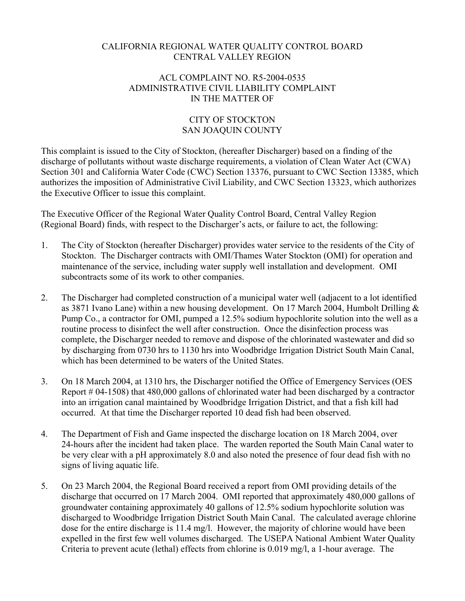## CALIFORNIA REGIONAL WATER QUALITY CONTROL BOARD CENTRAL VALLEY REGION

## ACL COMPLAINT NO. R5-2004-0535 ADMINISTRATIVE CIVIL LIABILITY COMPLAINT IN THE MATTER OF

## CITY OF STOCKTON SAN JOAQUIN COUNTY

This complaint is issued to the City of Stockton, (hereafter Discharger) based on a finding of the discharge of pollutants without waste discharge requirements, a violation of Clean Water Act (CWA) Section 301 and California Water Code (CWC) Section 13376, pursuant to CWC Section 13385, which authorizes the imposition of Administrative Civil Liability, and CWC Section 13323, which authorizes the Executive Officer to issue this complaint.

The Executive Officer of the Regional Water Quality Control Board, Central Valley Region (Regional Board) finds, with respect to the Discharger's acts, or failure to act, the following:

- 1. The City of Stockton (hereafter Discharger) provides water service to the residents of the City of Stockton. The Discharger contracts with OMI/Thames Water Stockton (OMI) for operation and maintenance of the service, including water supply well installation and development. OMI subcontracts some of its work to other companies.
- 2. The Discharger had completed construction of a municipal water well (adjacent to a lot identified as 3871 Ivano Lane) within a new housing development. On 17 March 2004, Humbolt Drilling & Pump Co., a contractor for OMI, pumped a 12.5% sodium hypochlorite solution into the well as a routine process to disinfect the well after construction. Once the disinfection process was complete, the Discharger needed to remove and dispose of the chlorinated wastewater and did so by discharging from 0730 hrs to 1130 hrs into Woodbridge Irrigation District South Main Canal, which has been determined to be waters of the United States.
- 3. On 18 March 2004, at 1310 hrs, the Discharger notified the Office of Emergency Services (OES Report # 04-1508) that 480,000 gallons of chlorinated water had been discharged by a contractor into an irrigation canal maintained by Woodbridge Irrigation District, and that a fish kill had occurred. At that time the Discharger reported 10 dead fish had been observed.
- 4. The Department of Fish and Game inspected the discharge location on 18 March 2004, over 24-hours after the incident had taken place. The warden reported the South Main Canal water to be very clear with a pH approximately 8.0 and also noted the presence of four dead fish with no signs of living aquatic life.
- 5. On 23 March 2004, the Regional Board received a report from OMI providing details of the discharge that occurred on 17 March 2004. OMI reported that approximately 480,000 gallons of groundwater containing approximately 40 gallons of 12.5% sodium hypochlorite solution was discharged to Woodbridge Irrigation District South Main Canal. The calculated average chlorine dose for the entire discharge is 11.4 mg/l. However, the majority of chlorine would have been expelled in the first few well volumes discharged. The USEPA National Ambient Water Quality Criteria to prevent acute (lethal) effects from chlorine is 0.019 mg/l, a 1-hour average. The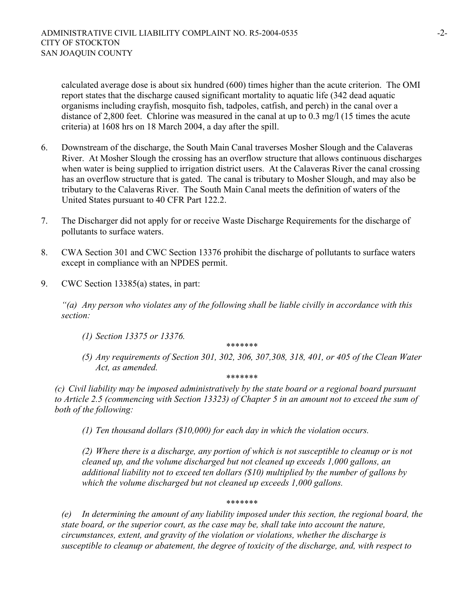calculated average dose is about six hundred (600) times higher than the acute criterion. The OMI report states that the discharge caused significant mortality to aquatic life (342 dead aquatic organisms including crayfish, mosquito fish, tadpoles, catfish, and perch) in the canal over a distance of 2,800 feet. Chlorine was measured in the canal at up to 0.3 mg/l (15 times the acute criteria) at 1608 hrs on 18 March 2004, a day after the spill.

- 6. Downstream of the discharge, the South Main Canal traverses Mosher Slough and the Calaveras River. At Mosher Slough the crossing has an overflow structure that allows continuous discharges when water is being supplied to irrigation district users. At the Calaveras River the canal crossing has an overflow structure that is gated. The canal is tributary to Mosher Slough, and may also be tributary to the Calaveras River. The South Main Canal meets the definition of waters of the United States pursuant to 40 CFR Part 122.2.
- 7. The Discharger did not apply for or receive Waste Discharge Requirements for the discharge of pollutants to surface waters.
- 8. CWA Section 301 and CWC Section 13376 prohibit the discharge of pollutants to surface waters except in compliance with an NPDES permit.
- 9. CWC Section 13385(a) states, in part:

*"(a) Any person who violates any of the following shall be liable civilly in accordance with this section:* 

*(1) Section 13375 or 13376.* 

 *\*\*\*\*\*\*\** 

*(5) Any requirements of Section 301, 302, 306, 307,308, 318, 401, or 405 of the Clean Water Act, as amended.* 

 *\*\*\*\*\*\*\** 

*(c) Civil liability may be imposed administratively by the state board or a regional board pursuant to Article 2.5 (commencing with Section 13323) of Chapter 5 in an amount not to exceed the sum of both of the following:* 

*(1) Ten thousand dollars (\$10,000) for each day in which the violation occurs.* 

*(2) Where there is a discharge, any portion of which is not susceptible to cleanup or is not cleaned up, and the volume discharged but not cleaned up exceeds 1,000 gallons, an additional liability not to exceed ten dollars (\$10) multiplied by the number of gallons by which the volume discharged but not cleaned up exceeds 1,000 gallons.* 

 *\*\*\*\*\*\*\** 

*(e) In determining the amount of any liability imposed under this section, the regional board, the state board, or the superior court, as the case may be, shall take into account the nature, circumstances, extent, and gravity of the violation or violations, whether the discharge is susceptible to cleanup or abatement, the degree of toxicity of the discharge, and, with respect to*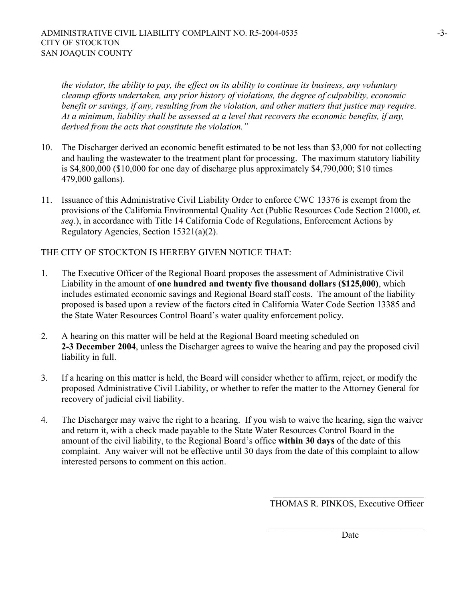*the violator, the ability to pay, the effect on its ability to continue its business, any voluntary cleanup efforts undertaken, any prior history of violations, the degree of culpability, economic benefit or savings, if any, resulting from the violation, and other matters that justice may require. At a minimum, liability shall be assessed at a level that recovers the economic benefits, if any, derived from the acts that constitute the violation."* 

- 10. The Discharger derived an economic benefit estimated to be not less than \$3,000 for not collecting and hauling the wastewater to the treatment plant for processing. The maximum statutory liability is \$4,800,000 (\$10,000 for one day of discharge plus approximately \$4,790,000; \$10 times 479,000 gallons).
- 11. Issuance of this Administrative Civil Liability Order to enforce CWC 13376 is exempt from the provisions of the California Environmental Quality Act (Public Resources Code Section 21000, *et. seq*.), in accordance with Title 14 California Code of Regulations, Enforcement Actions by Regulatory Agencies, Section 15321(a)(2).

THE CITY OF STOCKTON IS HEREBY GIVEN NOTICE THAT:

- 1. The Executive Officer of the Regional Board proposes the assessment of Administrative Civil Liability in the amount of **one hundred and twenty five thousand dollars (\$125,000)**, which includes estimated economic savings and Regional Board staff costs. The amount of the liability proposed is based upon a review of the factors cited in California Water Code Section 13385 and the State Water Resources Control Board's water quality enforcement policy.
- 2. A hearing on this matter will be held at the Regional Board meeting scheduled on **2-3 December 2004**, unless the Discharger agrees to waive the hearing and pay the proposed civil liability in full.
- 3. If a hearing on this matter is held, the Board will consider whether to affirm, reject, or modify the proposed Administrative Civil Liability, or whether to refer the matter to the Attorney General for recovery of judicial civil liability.
- 4. The Discharger may waive the right to a hearing. If you wish to waive the hearing, sign the waiver and return it, with a check made payable to the State Water Resources Control Board in the amount of the civil liability, to the Regional Board's office **within 30 days** of the date of this complaint. Any waiver will not be effective until 30 days from the date of this complaint to allow interested persons to comment on this action.

 $\mathcal{L}_\text{max}$ THOMAS R. PINKOS, Executive Officer

 $\mathcal{L}_\text{max}$  , where  $\mathcal{L}_\text{max}$  and  $\mathcal{L}_\text{max}$  and  $\mathcal{L}_\text{max}$ Date